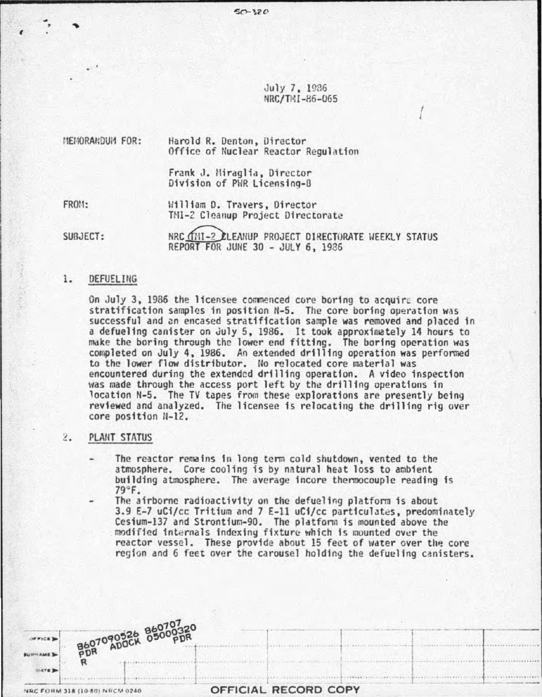July 7, 1936 NRC/TMI-86-065

I

:1EilORAI:OUI1 FOR: Harold R. Denton, Uirector Office of Nuclear Reactor Regulation

> Frank J. Hiraglia, Director Division of PWR Licensing-B

 $50 - 320$ 

FR0!1:

I

William D. Travers, Director TMI-2 Cleanup Project Directorate

SUBJECT: NRC (THI-2 ELEANUP PROJECT DIRECTORATE HEEKLY STATUS REPORT FOR JUNE 30 - JULY 6, 1986

# 1. OEFUELING

On July 3, 1986 the licensee commenced core boring to acquire core stratification samples in position H-5. The core boring operation was successful and an encased stratification sample was removed and placed in a defueling canister on July 5, 1986. It took approximately 14 hours to make the boring through the lower end fitting. The boring operation was completed on July 4. 1986. An extended drilling operation was performed to the lower flow distributor. No relocated core material was encountered during the extended drilling operation. A video inspection was made through the access port left by the drilling operations in<br>location N-5. The TV tapes from these explorations are presently being reviewed and analyzed. The licensee is relocating the drilling rig over core position H-12.

## . PLANT STATUS

The reactor remains in long term cold shutdown, vented to the atmosphere. Core cooling is by natural heat loss to ambient building atmosphere. The average incore thermocouple reading is 79°F.

The airborne radioactivity on the defueling platform is about 3.9 E-7 uCi/cc Tritium and 7 E-11 uCi/cc particulates, predominately Cesium-137 and Strontium-90. The platform is mounted above the modified internals indexing fixture which is mounted over the reactor vessel. These provide about 15 feet of water over the core region and 6 feet over the carousel holding the defueling canisters.



OFFICIAL RECORD COPY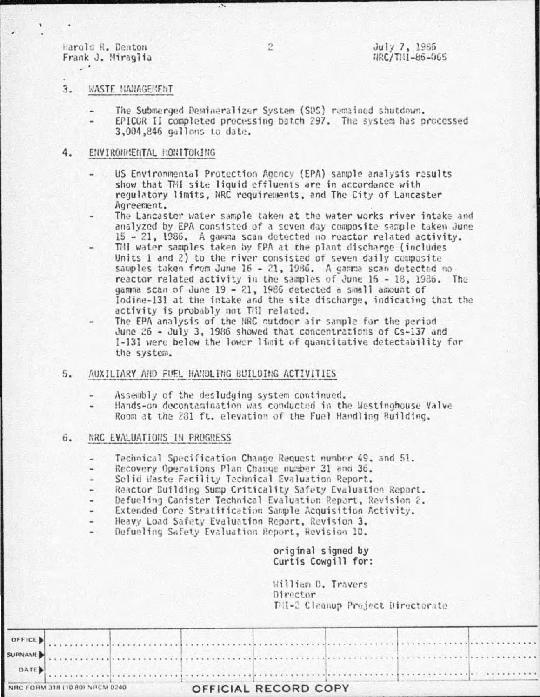Harold R. Denton Frank J. Miragiia  $\sim$ 

### 3. **WASTE NANAGEMENT**

- The Submerged Demineralizer System (SDS) remained shutdown.
- EPICOR II completed processing batch 297. The system has processed 3,004,846 gallons to date.

#### 4. ENVIRONMENTAL MONITORING

- US Environmental Protection Agency (EPA) sample analysis results show that TMI site liquid effluents are in accordance with regulatory limits, NRC requirements, and The City of Lancaster Agreement.
- The Lancaster water sample taken at the water works river intake and analyzed by EPA consisted of a seven day composite sample taken June 15 - 21, 1986. A gamma scan detected no reactor related activity.
- Till water samples taken by EPA at the plant discharge (includes Units 1 and 2) to the river consisted of seven daily composite samples taken from June 16 - 21, 1986. A gamma scan detected no reactor related activity in the samples of June 15 - 18, 1986. The gamma scan of June 19 - 21, 1986 detected a small amount of Iodine-131 at the intake and the site discharge, indicating that the activity is probably not Till related.
- The EPA analysis of the NRC cutdoor air sample for the period June 26 - July 3, 1986 showed that concentrations of Cs-137 and I-131 were below the lower limit of quantitative detectability for the system.
- $5.$ AUXILIARY AND FUEL HANDLING BUILDING ACTIVITIES
	- Assembly of the desludging system continued.
	- Hands-on decontamination was conducted in the Westinghouse Valve Room at the 281 ft. elevation of the Fuel Handling Building.

#### $6.$ NRC EVALUATIONS IN PROGRESS

- Technical Specification Change Request number 49, and 51.  $\overline{\phantom{a}}$
- Recovery Operations Plan Change number 31 and 36.
- Solid Waste Facility Technical Evaluation Report. ÷
- Reactor Building Sump Criticality Safety Evaluation Report.
- Defueling Canister Technical Evaluation Report, Revision 2.
- Extended Core Stratification Sample Acquisition Activity.
- Heavy Load Safety Evaluation Report, Revision 3.
- Defueling Safety Evaluation Report, Revision 10.

original signed by Curtis Cowgill for:

William D. Travers Director TMI-2 Cleanup Project Directorate

| NRC FORM 318 (10 80) NRCM 0240 |  |              | OFFICIAL RECORD COPY |  |  |  |  |  |  |
|--------------------------------|--|--------------|----------------------|--|--|--|--|--|--|
|                                |  | $\sim$ DATE) |                      |  |  |  |  |  |  |
|                                |  | SURNAME)     |                      |  |  |  |  |  |  |
|                                |  |              |                      |  |  |  |  |  |  |

 $\overline{c}$